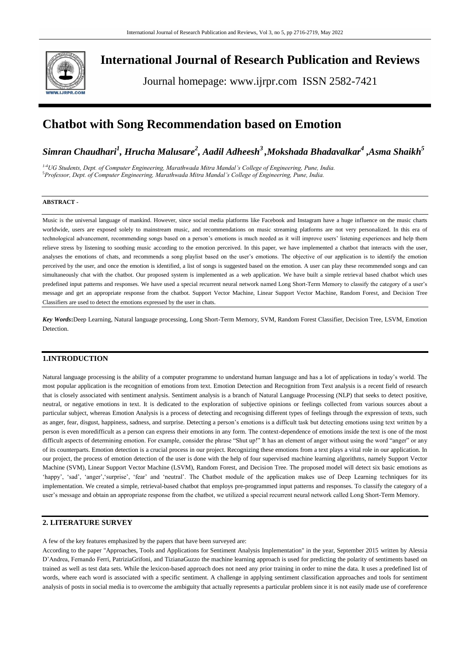

# **International Journal of Research Publication and Reviews**

Journal homepage: www.ijrpr.com ISSN 2582-7421

# **Chatbot with Song Recommendation based on Emotion**

*Simran Chaudhari<sup>1</sup> , Hrucha Malusare<sup>2</sup> , Aadil Adheesh<sup>3</sup>,Mokshada Bhadavalkar<sup>4</sup> ,Asma Shaikh<sup>5</sup>*

*1-4UG Students, Dept. of Computer Engineering, Marathwada Mitra Mandal's College of Engineering, Pune, India.* <sup>5</sup>*Professor, Dept. of Computer Engineering, Marathwada Mitra Mandal's College of Engineering, Pune, India.*

# **ABSTRACT -**

Music is the universal language of mankind. However, since social media platforms like Facebook and Instagram have a huge influence on the music charts worldwide, users are exposed solely to mainstream music, and recommendations on music streaming platforms are not very personalized. In this era of technological advancement, recommending songs based on a person"s emotions is much needed as it will improve users" listening experiences and help them relieve stress by listening to soothing music according to the emotion perceived. In this paper, we have implemented a chatbot that interacts with the user, analyses the emotions of chats, and recommends a song playlist based on the user's emotions. The objective of our application is to identify the emotion perceived by the user, and once the emotion is identified, a list of songs is suggested based on the emotion. A user can play these recommended songs and can simultaneously chat with the chatbot. Our proposed system is implemented as a web application. We have built a simple retrieval based chatbot which uses predefined input patterns and responses. We have used a special recurrent neural network named Long Short-Term Memory to classify the category of a user"s message and get an appropriate response from the chatbot. Support Vector Machine, Linear Support Vector Machine, Random Forest, and Decision Tree Classifiers are used to detect the emotions expressed by the user in chats.

*Key Words***:**Deep Learning, Natural language processing, Long Short-Term Memory, SVM, Random Forest Classifier, Decision Tree, LSVM, Emotion **Detection** 

# **1.INTRODUCTION**

Natural language processing is the ability of a computer programme to understand human language and has a lot of applications in today"s world. The most popular application is the recognition of emotions from text. Emotion Detection and Recognition from Text analysis is a recent field of research that is closely associated with sentiment analysis. Sentiment analysis is a branch of Natural Language Processing (NLP) that seeks to detect positive, neutral, or negative emotions in text. It is dedicated to the exploration of subjective opinions or feelings collected from various sources about a particular subject, whereas Emotion Analysis is a process of detecting and recognising different types of feelings through the expression of texts, such as anger, fear, disgust, happiness, sadness, and surprise. Detecting a person"s emotions is a difficult task but detecting emotions using text written by a person is even moredifficult as a person can express their emotions in any form. The context-dependence of emotions inside the text is one of the most difficult aspects of determining emotion. For example, consider the phrase "Shut up!" It has an element of anger without using the word "anger" or any of its counterparts. Emotion detection is a crucial process in our project. Recognizing these emotions from a text plays a vital role in our application. In our project, the process of emotion detection of the user is done with the help of four supervised machine learning algorithms, namely Support Vector Machine (SVM), Linear Support Vector Machine (LSVM), Random Forest, and Decision Tree. The proposed model will detect six basic emotions as 'happy', 'sad', 'anger', 'surprise', 'fear' and 'neutral'. The Chatbot module of the application makes use of Deep Learning techniques for its implementation. We created a simple, retrieval-based chatbot that employs pre-programmed input patterns and responses. To classify the category of a user's message and obtain an appropriate response from the chatbot, we utilized a special recurrent neural network called Long Short-Term Memory.

### **2. LITERATURE SURVEY**

A few of the key features emphasized by the papers that have been surveyed are:

According to the paper "Approaches, Tools and Applications for Sentiment Analysis Implementation" in the year, September 2015 written by Alessia D"Andrea, Fernando Ferri, PatriziaGrifoni, and TizianaGuzzo the machine learning approach is used for predicting the polarity of sentiments based on trained as well as test data sets. While the lexicon-based approach does not need any prior training in order to mine the data. It uses a predefined list of words, where each word is associated with a specific sentiment. A challenge in applying sentiment classification approaches and tools for sentiment analysis of posts in social media is to overcome the ambiguity that actually represents a particular problem since it is not easily made use of coreference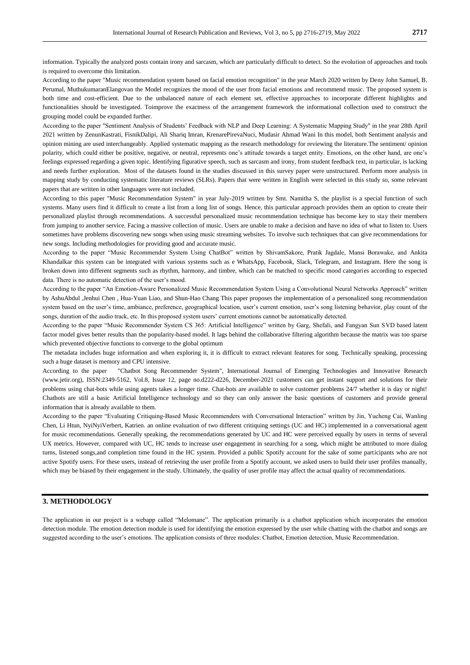information. Typically the analyzed posts contain irony and sarcasm, which are particularly difficult to detect. So the evolution of approaches and tools is required to overcome this limitation.

According to the paper "Music recommendation system based on facial emotion recognition" in the year March 2020 written by Deny John Samuel, B. Perumal, MuthukumaranElangovan the Model recognizes the mood of the user from facial emotions and recommend music. The proposed system is both time and cost-efficient. Due to the unbalanced nature of each element set, effective approaches to incorporate different highlights and functionalities should be investigated. Toimprove the exactness of the arrangement framework the informational collection used to construct the grouping model could be expanded further.

According to the paper "Sentiment Analysis of Students" Feedback with NLP and Deep Learning: A Systematic Mapping Study" in the year 28th April 2021 written by ZenunKastrati, FisnikDalipi, Ali Shariq Imran, KrenarePirevaNuci, Mudasir Ahmad Wani In this model, both Sentiment analysis and opinion mining are used interchangeably. Applied systematic mapping as the research methodology for reviewing the literature.The sentiment/ opinion polarity, which could either be positive, negative, or neutral, represents one"s attitude towards a target entity. Emotions, on the other hand, are one"s feelings expressed regarding a given topic. Identifying figurative speech, such as sarcasm and irony, from student feedback text, in particular, is lacking and needs further exploration. Most of the datasets found in the studies discussed in this survey paper were unstructured. Perform more analysis in mapping study by conducting systematic literature reviews (SLRs). Papers that were written in English were selected in this study so, some relevant papers that are written in other languages were not included.

According to this paper "Music Recommendation System" in year July-2019 written by Smt. Namitha S, the playlist is a special function of such systems. Many users find it difficult to create a list from a long list of songs. Hence, this particular approach provides them an option to create their personalized playlist through recommendations. A successful personalized music recommendation technique has become key to stay their members from jumping to another service. Facing a massive collection of music. Users are unable to make a decision and have no idea of what to listen to. Users sometimes have problems discovering new songs when using music streaming websites. To involve such techniques that can give recommendations for new songs. Including methodologies for providing good and accurate music.

According to the paper "Music Recommender System Using ChatBot" written by ShivamSakore, Pratik Jagdale, Mansi Borawake, and Ankita Khandalkar this system can be integrated with various systems such as e WhatsApp, Facebook, Slack, Telegram, and Instagram. Here the song is broken down into different segments such as rhythm, harmony, and timbre, which can be matched to specific mood categories according to expected data. There is no automatic detection of the user's mood.

According to the paper "An Emotion-Aware Personalized Music Recommendation System Using a Convolutional Neural Networks Approach" written by AshuAbdul ,Jenhui Chen , Hua-Yuan Liao, and Shun-Hao Chang This paper proposes the implementation of a personalized song recommendation system based on the user's time, ambiance, preference, geographical location, user's current emotion, user's song listening behavior, play count of the songs, duration of the audio track, etc. In this proposed system users" current emotions cannot be automatically detected.

According to the paper "Music Recommender System CS 365: Artificial Intelligence" written by Garg, Shefali, and Fangyan Sun SVD based latent factor model gives better results than the popularity-based model. It lags behind the collaborative filtering algorithm because the matrix was too sparse which prevented objective functions to converge to the global optimum

The metadata includes huge information and when exploring it, it is difficult to extract relevant features for song. Technically speaking, processing such a huge dataset is memory and CPU intensive.

According to the paper "Chatbot Song Recommender System", International Journal of Emerging Technologies and Innovative Research (www.jetir.org), ISSN:2349-5162, Vol.8, Issue 12, page no.d222-d226, December-2021 customers can get instant support and solutions for their problems using chat-bots while using agents takes a longer time. Chat-bots are available to solve customer problems 24/7 whether it is day or night! Chatbots are still a basic Artificial Intelligence technology and so they can only answer the basic questions of customers and provide general information that is already available to them.

According to the paper "Evaluating Critiquing-Based Music Recommenders with Conversational Interaction" written by Jin, Yucheng Cai, Wanling Chen, Li Htun, NyiNyiVerbert, Katrien. an online evaluation of two different critiquing settings (UC and HC) implemented in a conversational agent for music recommendations. Generally speaking, the recommendations generated by UC and HC were perceived equally by users in terms of several UX metrics. However, compared with UC, HC tends to increase user engagement in searching for a song, which might be attributed to more dialog turns, listened songs,and completion time found in the HC system. Provided a public Spotify account for the sake of some participants who are not active Spotify users. For these users, instead of retrieving the user profile from a Spotify account, we asked users to build their user profiles manually, which may be biased by their engagement in the study. Ultimately, the quality of user profile may affect the actual quality of recommendations.

## **3. METHODOLOGY**

The application in our project is a webapp called "Melomane". The application primarily is a chatbot application which incorporates the emotion detection module. The emotion detection module is used for identifying the emotion expressed by the user while chatting with the chatbot and songs are suggested according to the user"s emotions. The application consists of three modules: Chatbot, Emotion detection, Music Recommendation.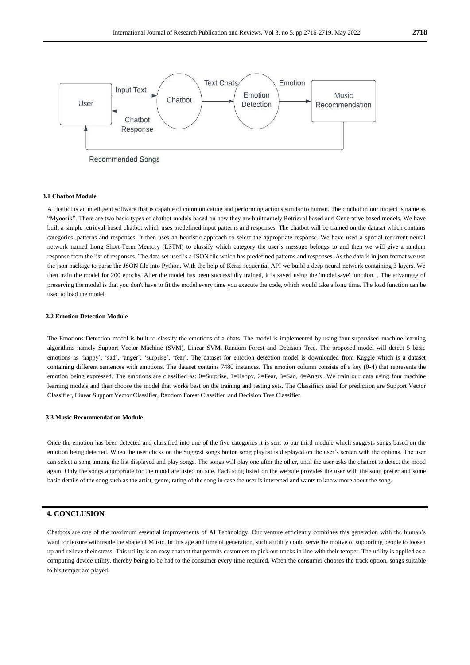

Recommended Songs

#### **3.1 Chatbot Module**

A chatbot is an intelligent software that is capable of communicating and performing actions similar to human. The chatbot in our project is name as "Myoosik". There are two basic types of chatbot models based on how they are builtnamely Retrieval based and Generative based models. We have built a simple retrieval-based chatbot which uses predefined input patterns and responses. The chatbot will be trained on the dataset which contains categories ,patterns and responses. It then uses an heuristic approach to select the appropriate response. We have used a special recurrent neural network named Long Short-Term Memory (LSTM) to classify which category the user"s message belongs to and then we will give a random response from the list of responses. The data set used is a JSON file which has predefined patterns and responses. As the data is in json format we use the json package to parse the JSON file into Python. With the help of Keras sequential API we build a deep neural network containing 3 layers. We then train the model for 200 epochs. After the model has been successfully trained, it is saved using the 'model.save' function. . The advantage of preserving the model is that you don't have to fit the model every time you execute the code, which would take a long time. The load function can be used to load the model.

#### **3.2 Emotion Detection Module**

The Emotions Detection model is built to classify the emotions of a chats. The model is implemented by using four supervised machine learning algorithms namely Support Vector Machine (SVM), Linear SVM, Random Forest and Decision Tree. The proposed model will detect 5 basic emotions as 'happy', 'sad', 'anger', 'surprise', 'fear'. The dataset for emotion detection model is downloaded from Kaggle which is a dataset containing different sentences with emotions. The dataset contains 7480 instances. The emotion column consists of a key (0-4) that represents the emotion being expressed. The emotions are classified as: 0=Surprise, 1=Happy, 2=Fear, 3=Sad, 4=Angry. We train our data using four machine learning models and then choose the model that works best on the training and testing sets. The Classifiers used for prediction are Support Vector Classifier, Linear Support Vector Classifier, Random Forest Classifier and Decision Tree Classifier.

#### **3.3 Music Recommendation Module**

Once the emotion has been detected and classified into one of the five categories it is sent to our third module which suggests songs based on the emotion being detected. When the user clicks on the Suggest songs button song playlist is displayed on the user"s screen with the options. The user can select a song among the list displayed and play songs. The songs will play one after the other, until the user asks the chatbot to detect the mood again. Only the songs appropriate for the mood are listed on site. Each song listed on the website provides the user with the song poster and some basic details of the song such as the artist, genre, rating of the song in case the user is interested and wants to know more about the song.

### **4. CONCLUSION**

Chatbots are one of the maximum essential improvements of AI Technology. Our venture efficiently combines this generation with the human"s want for leisure withinside the shape of Music. In this age and time of generation, such a utility could serve the motive of supporting people to loosen up and relieve their stress. This utility is an easy chatbot that permits customers to pick out tracks in line with their temper. The utility is applied as a computing device utility, thereby being to be had to the consumer every time required. When the consumer chooses the track option, songs suitable to his temper are played.